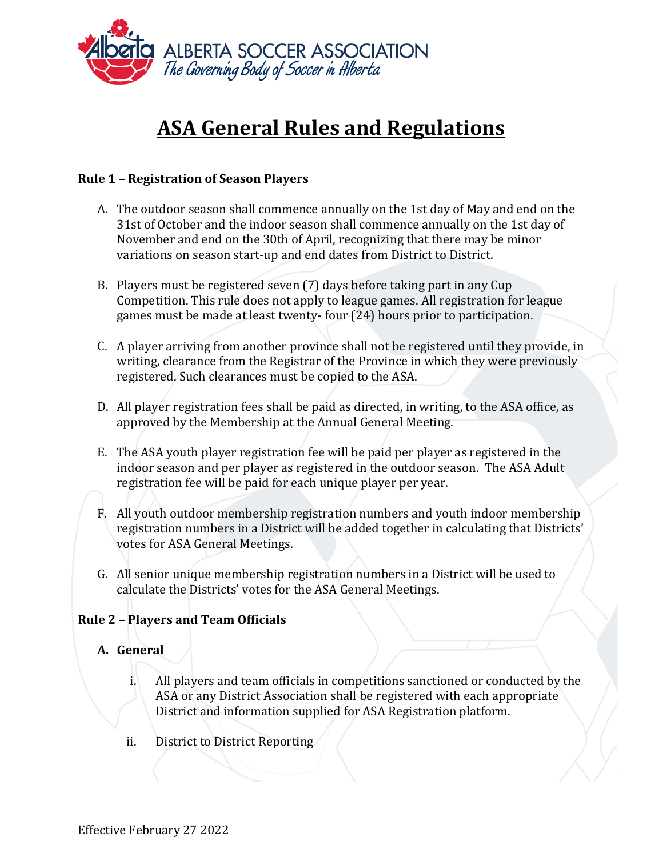

# **ASA General Rules and Regulations**

#### **Rule 1 – Registration of Season Players**

- A. The outdoor season shall commence annually on the 1st day of May and end on the 31st of October and the indoor season shall commence annually on the 1st day of November and end on the 30th of April, recognizing that there may be minor variations on season start-up and end dates from District to District.
- B. Players must be registered seven (7) days before taking part in any Cup Competition. This rule does not apply to league games. All registration for league games must be made at least twenty- four (24) hours prior to participation.
- C. A player arriving from another province shall not be registered until they provide, in writing, clearance from the Registrar of the Province in which they were previously registered. Such clearances must be copied to the ASA.
- D. All player registration fees shall be paid as directed, in writing, to the ASA office, as approved by the Membership at the Annual General Meeting.
- E. The ASA youth player registration fee will be paid per player as registered in the indoor season and per player as registered in the outdoor season. The ASA Adult registration fee will be paid for each unique player per year.
- F. All youth outdoor membership registration numbers and youth indoor membership registration numbers in a District will be added together in calculating that Districts' votes for ASA General Meetings.
- G. All senior unique membership registration numbers in a District will be used to calculate the Districts' votes for the ASA General Meetings.

### **Rule 2 – Players and Team Officials**

### **A. General**

- i. All players and team officials in competitions sanctioned or conducted by the ASA or any District Association shall be registered with each appropriate District and information supplied for ASA Registration platform.
- ii. District to District Reporting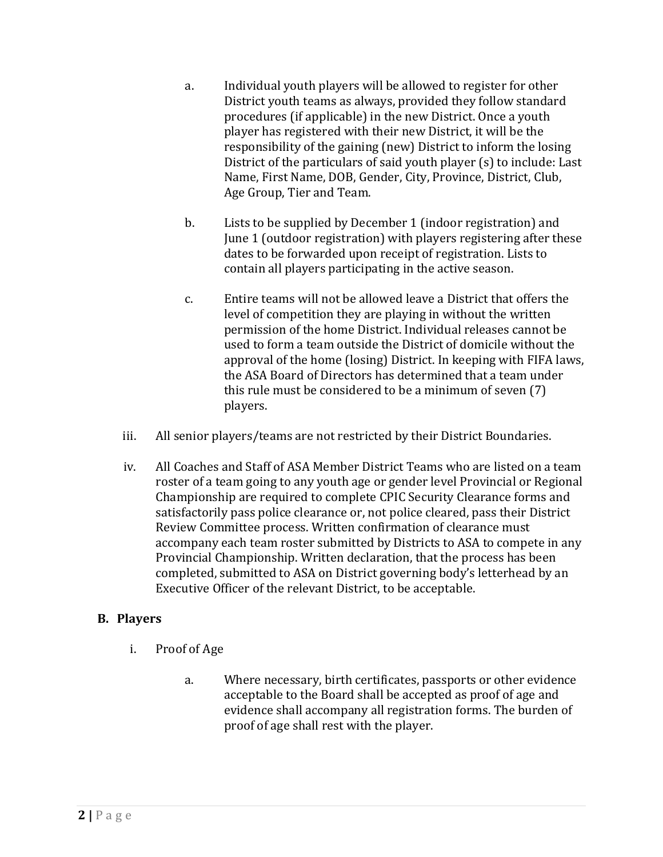- a. Individual youth players will be allowed to register for other District youth teams as always, provided they follow standard procedures (if applicable) in the new District. Once a youth player has registered with their new District, it will be the responsibility of the gaining (new) District to inform the losing District of the particulars of said youth player (s) to include: Last Name, First Name, DOB, Gender, City, Province, District, Club, Age Group, Tier and Team.
- b. Lists to be supplied by December 1 (indoor registration) and June 1 (outdoor registration) with players registering after these dates to be forwarded upon receipt of registration. Lists to contain all players participating in the active season.
- c. Entire teams will not be allowed leave a District that offers the level of competition they are playing in without the written permission of the home District. Individual releases cannot be used to form a team outside the District of domicile without the approval of the home (losing) District. In keeping with FIFA laws, the ASA Board of Directors has determined that a team under this rule must be considered to be a minimum of seven (7) players.
- iii. All senior players/teams are not restricted by their District Boundaries.
- iv. All Coaches and Staff of ASA Member District Teams who are listed on a team roster of a team going to any youth age or gender level Provincial or Regional Championship are required to complete CPIC Security Clearance forms and satisfactorily pass police clearance or, not police cleared, pass their District Review Committee process. Written confirmation of clearance must accompany each team roster submitted by Districts to ASA to compete in any Provincial Championship. Written declaration, that the process has been completed, submitted to ASA on District governing body's letterhead by an Executive Officer of the relevant District, to be acceptable.

## **B. Players**

- i. Proof of Age
	- a. Where necessary, birth certificates, passports or other evidence acceptable to the Board shall be accepted as proof of age and evidence shall accompany all registration forms. The burden of proof of age shall rest with the player.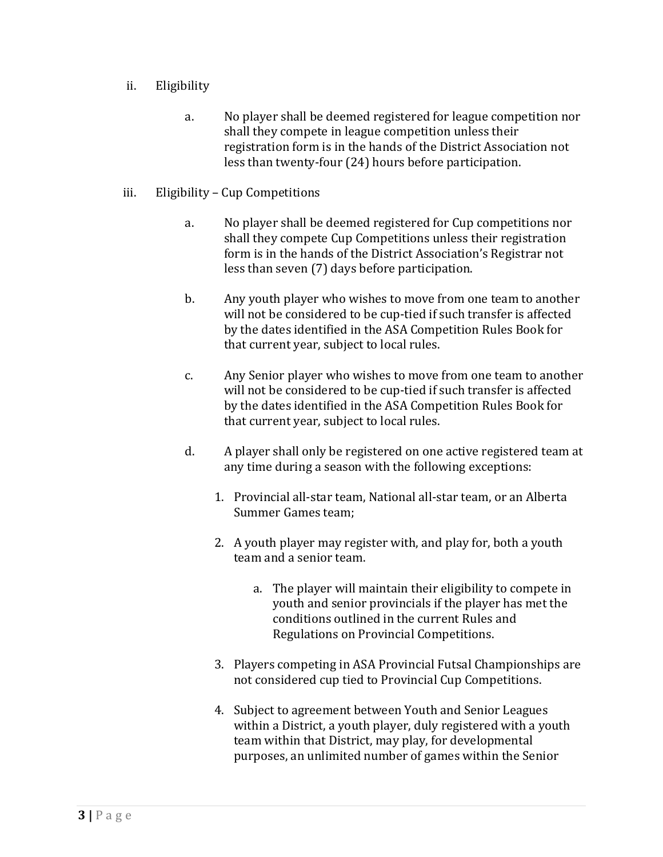#### ii. Eligibility

a. No player shall be deemed registered for league competition nor shall they compete in league competition unless their registration form is in the hands of the District Association not less than twenty-four (24) hours before participation.

#### iii. Eligibility – Cup Competitions

- a. No player shall be deemed registered for Cup competitions nor shall they compete Cup Competitions unless their registration form is in the hands of the District Association's Registrar not less than seven (7) days before participation.
- b. Any youth player who wishes to move from one team to another will not be considered to be cup-tied if such transfer is affected by the dates identified in the ASA Competition Rules Book for that current year, subject to local rules.
- c. Any Senior player who wishes to move from one team to another will not be considered to be cup-tied if such transfer is affected by the dates identified in the ASA Competition Rules Book for that current year, subject to local rules.
- d. A player shall only be registered on one active registered team at any time during a season with the following exceptions:
	- 1. Provincial all-star team, National all-star team, or an Alberta Summer Games team;
	- 2. A youth player may register with, and play for, both a youth team and a senior team.
		- a. The player will maintain their eligibility to compete in youth and senior provincials if the player has met the conditions outlined in the current Rules and Regulations on Provincial Competitions.
	- 3. Players competing in ASA Provincial Futsal Championships are not considered cup tied to Provincial Cup Competitions.
	- 4. Subject to agreement between Youth and Senior Leagues within a District, a youth player, duly registered with a youth team within that District, may play, for developmental purposes, an unlimited number of games within the Senior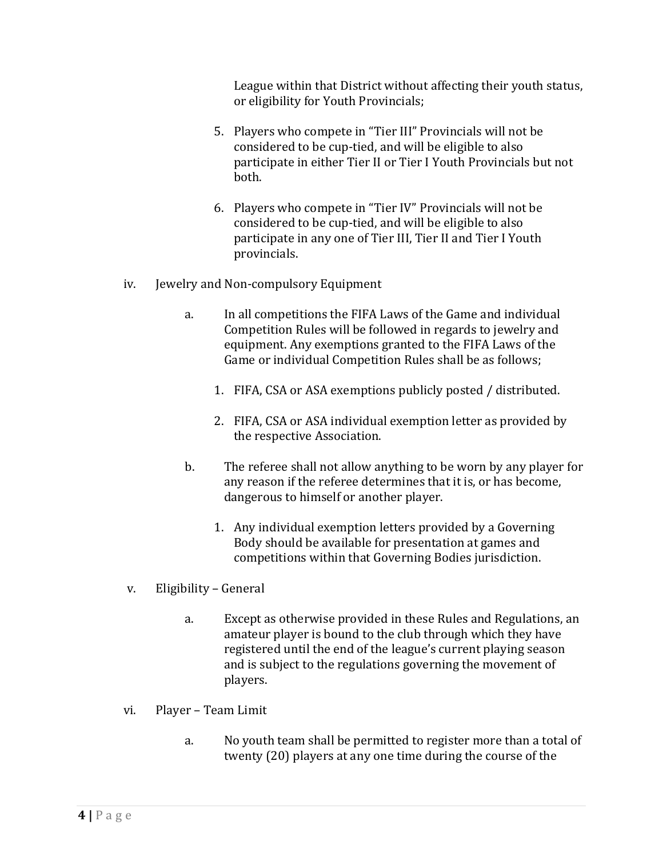League within that District without affecting their youth status, or eligibility for Youth Provincials;

- 5. Players who compete in "Tier III" Provincials will not be considered to be cup-tied, and will be eligible to also participate in either Tier II or Tier I Youth Provincials but not both.
- 6. Players who compete in "Tier IV" Provincials will not be considered to be cup-tied, and will be eligible to also participate in any one of Tier III, Tier II and Tier I Youth provincials.
- iv. Jewelry and Non-compulsory Equipment
	- a. In all competitions the FIFA Laws of the Game and individual Competition Rules will be followed in regards to jewelry and equipment. Any exemptions granted to the FIFA Laws of the Game or individual Competition Rules shall be as follows;
		- 1. FIFA, CSA or ASA exemptions publicly posted / distributed.
		- 2. FIFA, CSA or ASA individual exemption letter as provided by the respective Association.
	- b. The referee shall not allow anything to be worn by any player for any reason if the referee determines that it is, or has become, dangerous to himself or another player.
		- 1. Any individual exemption letters provided by a Governing Body should be available for presentation at games and competitions within that Governing Bodies jurisdiction.
- v. Eligibility General
	- a. Except as otherwise provided in these Rules and Regulations, an amateur player is bound to the club through which they have registered until the end of the league's current playing season and is subject to the regulations governing the movement of players.
- vi. Player Team Limit
	- a. No youth team shall be permitted to register more than a total of twenty (20) players at any one time during the course of the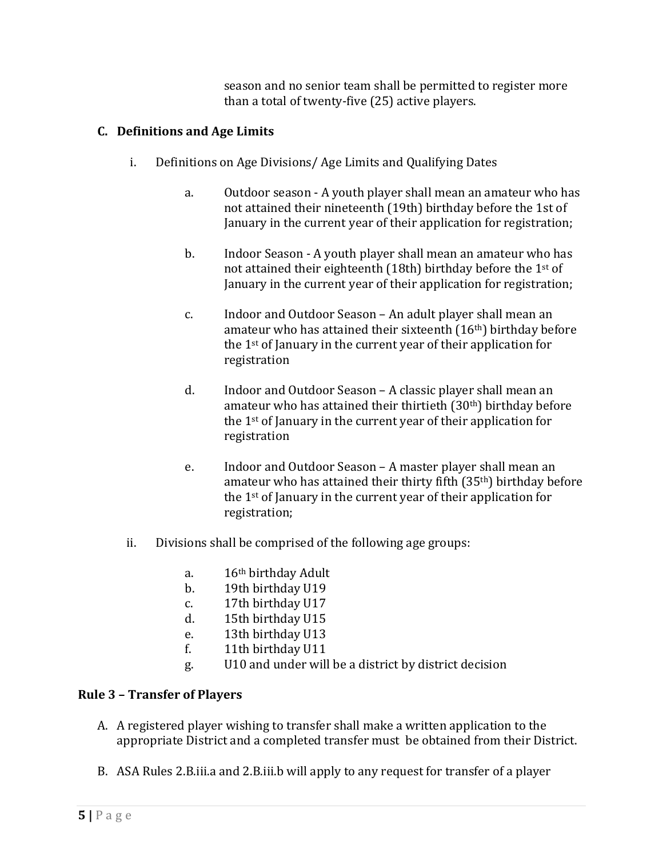season and no senior team shall be permitted to register more than a total of twenty-five (25) active players.

## **C. Definitions and Age Limits**

- i. Definitions on Age Divisions/ Age Limits and Qualifying Dates
	- a. Outdoor season A youth player shall mean an amateur who has not attained their nineteenth (19th) birthday before the 1st of January in the current year of their application for registration;
	- b. Indoor Season A youth player shall mean an amateur who has not attained their eighteenth (18th) birthday before the 1st of January in the current year of their application for registration;
	- c. Indoor and Outdoor Season An adult player shall mean an amateur who has attained their sixteenth (16th) birthday before the 1st of January in the current year of their application for registration
	- d. Indoor and Outdoor Season A classic player shall mean an amateur who has attained their thirtieth (30<sup>th</sup>) birthday before the 1st of January in the current year of their application for registration
	- e. Indoor and Outdoor Season A master player shall mean an amateur who has attained their thirty fifth (35th) birthday before the 1st of January in the current year of their application for registration;
- ii. Divisions shall be comprised of the following age groups:
	- a. 16<sup>th</sup> birthday Adult<br>b. 19th birthday U19
	- b. 19th birthday U19<br>c. 17th birthday U17
	-
	- c. 17th birthday U17<br>d. 15th birthday U15 15th birthday U15
	-
	- e. 13th birthday U13<br>f. 11th birthday U11 11th birthday U11
	- g. U10 and under will be a district by district decision

## **Rule 3 – Transfer of Players**

- A. A registered player wishing to transfer shall make a written application to the appropriate District and a completed transfer must be obtained from their District.
- B. ASA Rules 2.B.iii.a and 2.B.iii.b will apply to any request for transfer of a player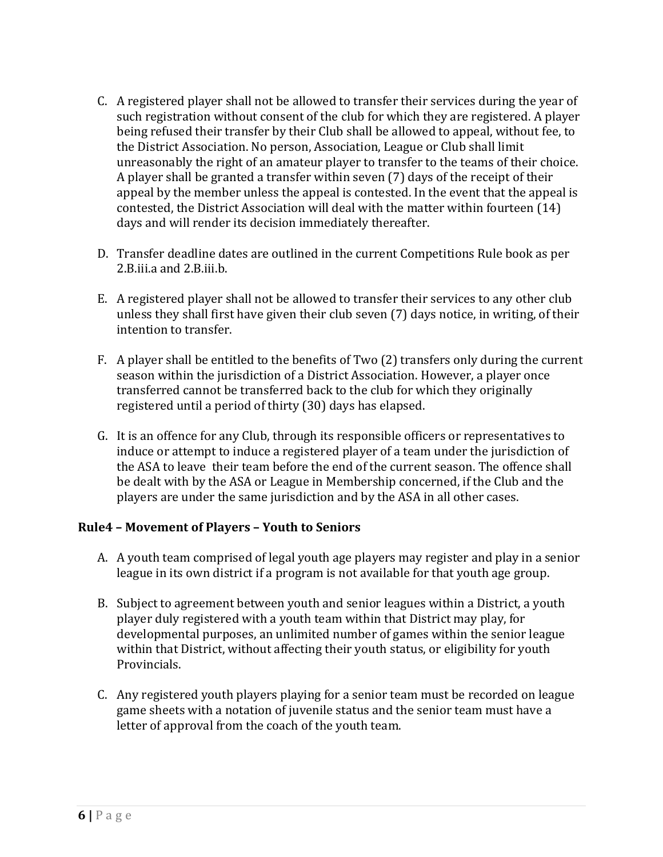- C. A registered player shall not be allowed to transfer their services during the year of such registration without consent of the club for which they are registered. A player being refused their transfer by their Club shall be allowed to appeal, without fee, to the District Association. No person, Association, League or Club shall limit unreasonably the right of an amateur player to transfer to the teams of their choice. A player shall be granted a transfer within seven (7) days of the receipt of their appeal by the member unless the appeal is contested. In the event that the appeal is contested, the District Association will deal with the matter within fourteen (14) days and will render its decision immediately thereafter.
- D. Transfer deadline dates are outlined in the current Competitions Rule book as per 2.B.iii.a and 2.B.iii.b.
- E. A registered player shall not be allowed to transfer their services to any other club unless they shall first have given their club seven (7) days notice, in writing, of their intention to transfer.
- F. A player shall be entitled to the benefits of Two (2) transfers only during the current season within the jurisdiction of a District Association. However, a player once transferred cannot be transferred back to the club for which they originally registered until a period of thirty (30) days has elapsed.
- G. It is an offence for any Club, through its responsible officers or representatives to induce or attempt to induce a registered player of a team under the jurisdiction of the ASA to leave their team before the end of the current season. The offence shall be dealt with by the ASA or League in Membership concerned, if the Club and the players are under the same jurisdiction and by the ASA in all other cases.

#### **Rule4 – Movement of Players – Youth to Seniors**

- A. A youth team comprised of legal youth age players may register and play in a senior league in its own district if a program is not available for that youth age group.
- B. Subject to agreement between youth and senior leagues within a District, a youth player duly registered with a youth team within that District may play, for developmental purposes, an unlimited number of games within the senior league within that District, without affecting their youth status, or eligibility for youth Provincials.
- C. Any registered youth players playing for a senior team must be recorded on league game sheets with a notation of juvenile status and the senior team must have a letter of approval from the coach of the youth team.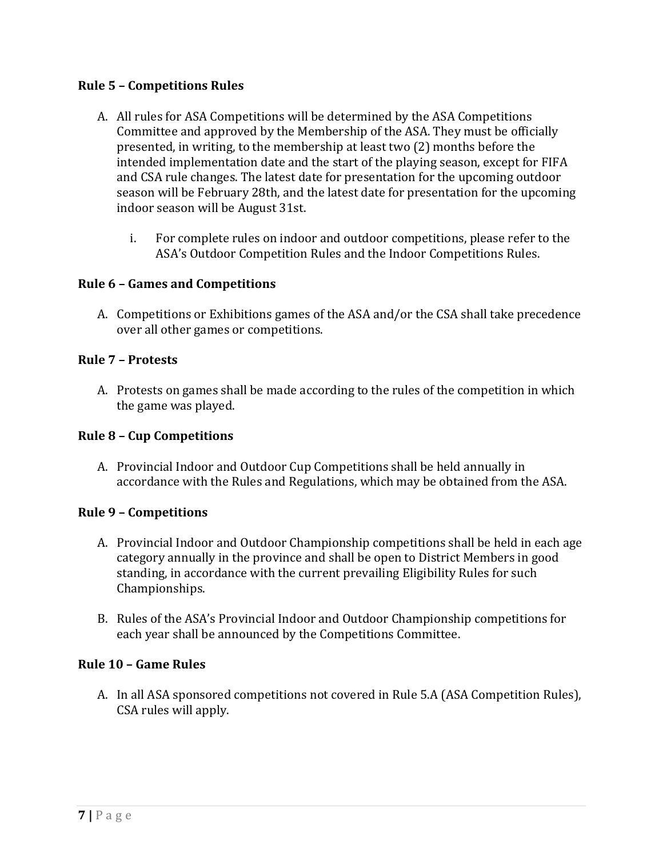#### **Rule 5 – Competitions Rules**

- A. All rules for ASA Competitions will be determined by the ASA Competitions Committee and approved by the Membership of the ASA. They must be officially presented, in writing, to the membership at least two (2) months before the intended implementation date and the start of the playing season, except for FIFA and CSA rule changes. The latest date for presentation for the upcoming outdoor season will be February 28th, and the latest date for presentation for the upcoming indoor season will be August 31st.
	- i. For complete rules on indoor and outdoor competitions, please refer to the ASA's Outdoor Competition Rules and the Indoor Competitions Rules.

#### **Rule 6 – Games and Competitions**

A. Competitions or Exhibitions games of the ASA and/or the CSA shall take precedence over all other games or competitions.

#### **Rule 7 – Protests**

A. Protests on games shall be made according to the rules of the competition in which the game was played.

#### **Rule 8 – Cup Competitions**

A. Provincial Indoor and Outdoor Cup Competitions shall be held annually in accordance with the Rules and Regulations, which may be obtained from the ASA.

#### **Rule 9 – Competitions**

- A. Provincial Indoor and Outdoor Championship competitions shall be held in each age category annually in the province and shall be open to District Members in good standing, in accordance with the current prevailing Eligibility Rules for such Championships.
- B. Rules of the ASA's Provincial Indoor and Outdoor Championship competitions for each year shall be announced by the Competitions Committee.

#### **Rule 10 – Game Rules**

A. In all ASA sponsored competitions not covered in Rule 5.A (ASA Competition Rules), CSA rules will apply.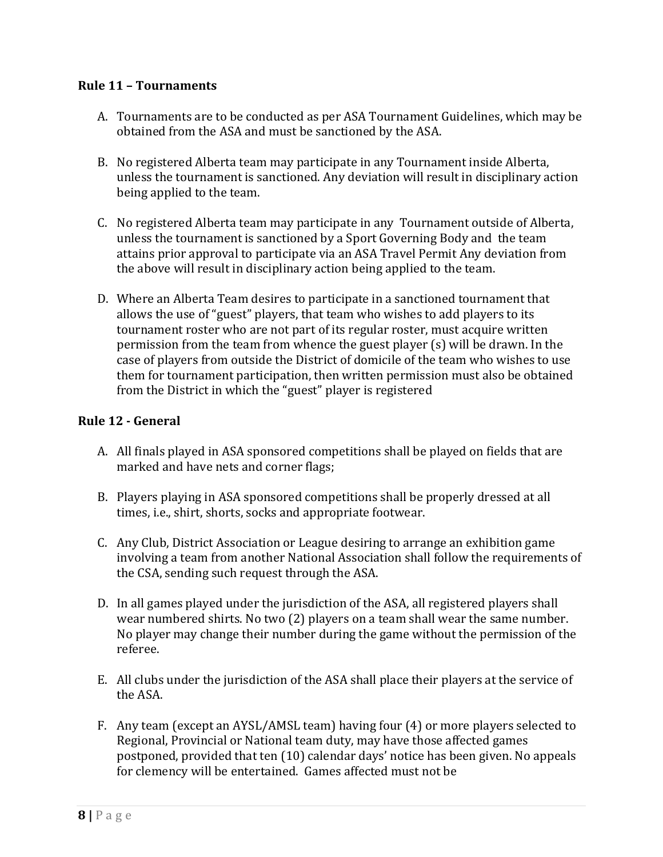#### **Rule 11 – Tournaments**

- A. Tournaments are to be conducted as per ASA Tournament Guidelines, which may be obtained from the ASA and must be sanctioned by the ASA.
- B. No registered Alberta team may participate in any Tournament inside Alberta, unless the tournament is sanctioned. Any deviation will result in disciplinary action being applied to the team.
- C. No registered Alberta team may participate in any Tournament outside of Alberta, unless the tournament is sanctioned by a Sport Governing Body and the team attains prior approval to participate via an ASA Travel Permit Any deviation from the above will result in disciplinary action being applied to the team.
- D. Where an Alberta Team desires to participate in a sanctioned tournament that allows the use of "guest" players, that team who wishes to add players to its tournament roster who are not part of its regular roster, must acquire written permission from the team from whence the guest player (s) will be drawn. In the case of players from outside the District of domicile of the team who wishes to use them for tournament participation, then written permission must also be obtained from the District in which the "guest" player is registered

#### **Rule 12 - General**

- A. All finals played in ASA sponsored competitions shall be played on fields that are marked and have nets and corner flags;
- B. Players playing in ASA sponsored competitions shall be properly dressed at all times, i.e., shirt, shorts, socks and appropriate footwear.
- C. Any Club, District Association or League desiring to arrange an exhibition game involving a team from another National Association shall follow the requirements of the CSA, sending such request through the ASA.
- D. In all games played under the jurisdiction of the ASA, all registered players shall wear numbered shirts. No two (2) players on a team shall wear the same number. No player may change their number during the game without the permission of the referee.
- E. All clubs under the jurisdiction of the ASA shall place their players at the service of the ASA.
- F. Any team (except an AYSL/AMSL team) having four (4) or more players selected to Regional, Provincial or National team duty, may have those affected games postponed, provided that ten (10) calendar days' notice has been given. No appeals for clemency will be entertained. Games affected must not be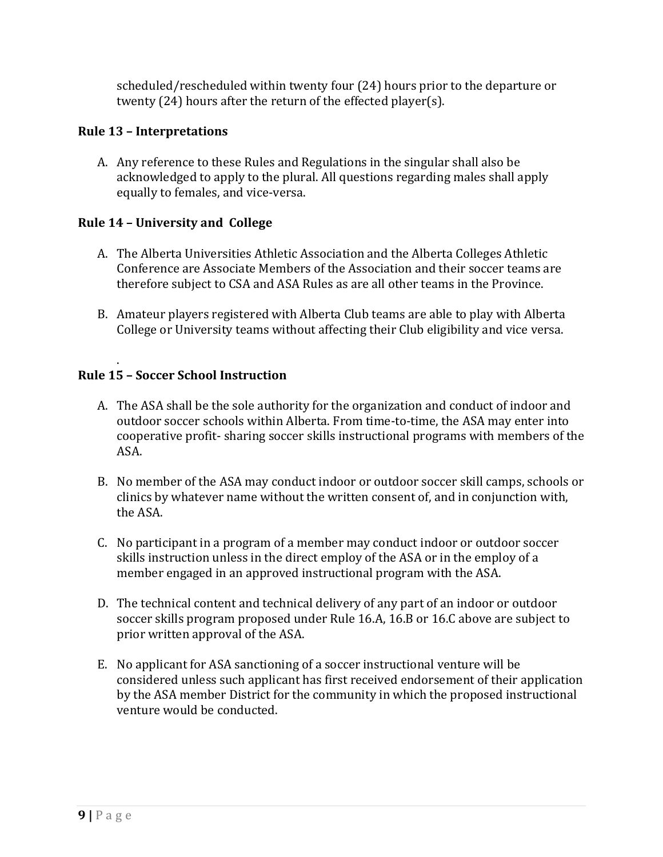scheduled/rescheduled within twenty four (24) hours prior to the departure or twenty (24) hours after the return of the effected player(s).

#### **Rule 13 – Interpretations**

A. Any reference to these Rules and Regulations in the singular shall also be acknowledged to apply to the plural. All questions regarding males shall apply equally to females, and vice-versa.

#### **Rule 14 – University and College**

- A. The Alberta Universities Athletic Association and the Alberta Colleges Athletic Conference are Associate Members of the Association and their soccer teams are therefore subject to CSA and ASA Rules as are all other teams in the Province.
- B. Amateur players registered with Alberta Club teams are able to play with Alberta College or University teams without affecting their Club eligibility and vice versa.

#### . **Rule 15 – Soccer School Instruction**

- A. The ASA shall be the sole authority for the organization and conduct of indoor and outdoor soccer schools within Alberta. From time-to-time, the ASA may enter into cooperative profit- sharing soccer skills instructional programs with members of the ASA.
- B. No member of the ASA may conduct indoor or outdoor soccer skill camps, schools or clinics by whatever name without the written consent of, and in conjunction with, the ASA.
- C. No participant in a program of a member may conduct indoor or outdoor soccer skills instruction unless in the direct employ of the ASA or in the employ of a member engaged in an approved instructional program with the ASA.
- D. The technical content and technical delivery of any part of an indoor or outdoor soccer skills program proposed under Rule 16.A, 16.B or 16.C above are subject to prior written approval of the ASA.
- E. No applicant for ASA sanctioning of a soccer instructional venture will be considered unless such applicant has first received endorsement of their application by the ASA member District for the community in which the proposed instructional venture would be conducted.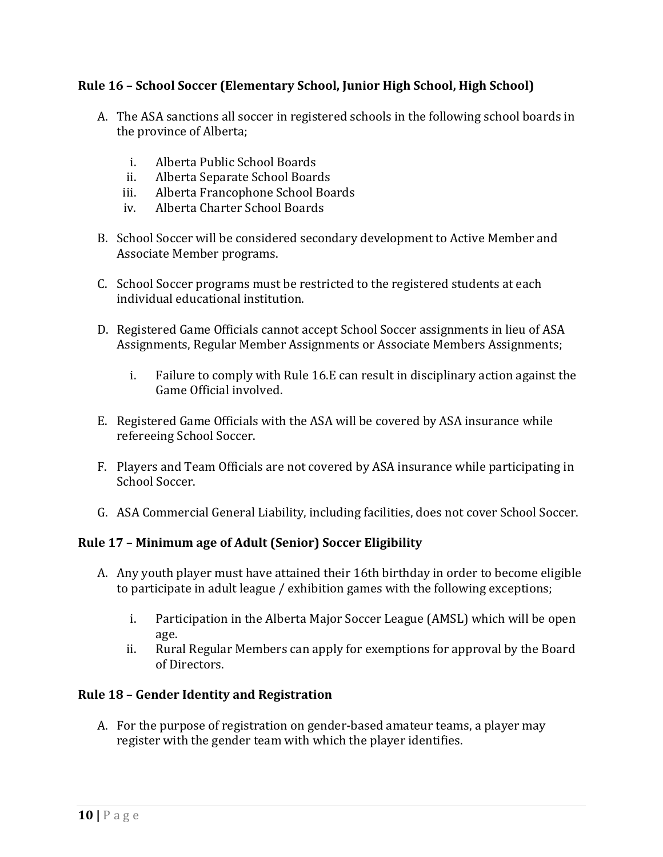#### **Rule 16 – School Soccer (Elementary School, Junior High School, High School)**

- A. The ASA sanctions all soccer in registered schools in the following school boards in the province of Alberta;
	- i. Alberta Public School Boards<br>ii. Alberta Separate School Board
	- ii. Alberta Separate School Boards<br>iii. Alberta Francophone School Boa
	- iii. Alberta Francophone School Boards<br>iv. Alberta Charter School Boards
	- Alberta Charter School Boards
- B. School Soccer will be considered secondary development to Active Member and Associate Member programs.
- C. School Soccer programs must be restricted to the registered students at each individual educational institution.
- D. Registered Game Officials cannot accept School Soccer assignments in lieu of ASA Assignments, Regular Member Assignments or Associate Members Assignments;
	- i. Failure to comply with Rule 16.E can result in disciplinary action against the Game Official involved.
- E. Registered Game Officials with the ASA will be covered by ASA insurance while refereeing School Soccer.
- F. Players and Team Officials are not covered by ASA insurance while participating in School Soccer.
- G. ASA Commercial General Liability, including facilities, does not cover School Soccer.

#### **Rule 17 – Minimum age of Adult (Senior) Soccer Eligibility**

- A. Any youth player must have attained their 16th birthday in order to become eligible to participate in adult league / exhibition games with the following exceptions;
	- i. Participation in the Alberta Major Soccer League (AMSL) which will be open age.
	- ii. Rural Regular Members can apply for exemptions for approval by the Board of Directors.

#### **Rule 18 – Gender Identity and Registration**

A. For the purpose of registration on gender-based amateur teams, a player may register with the gender team with which the player identifies.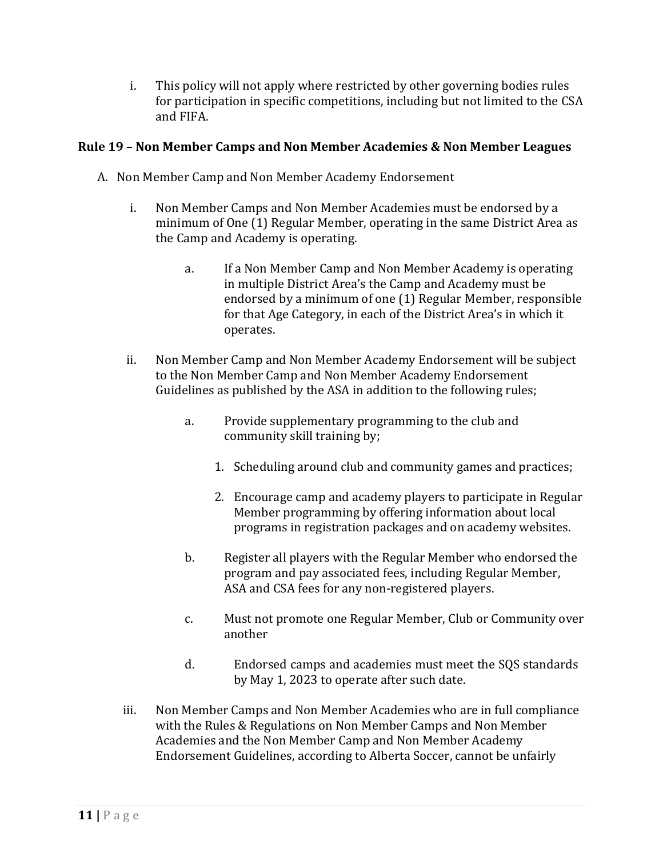i. This policy will not apply where restricted by other governing bodies rules for participation in specific competitions, including but not limited to the CSA and FIFA.

#### **Rule 19 – Non Member Camps and Non Member Academies & Non Member Leagues**

- A. Non Member Camp and Non Member Academy Endorsement
	- i. Non Member Camps and Non Member Academies must be endorsed by a minimum of One (1) Regular Member, operating in the same District Area as the Camp and Academy is operating.
		- a. If a Non Member Camp and Non Member Academy is operating in multiple District Area's the Camp and Academy must be endorsed by a minimum of one (1) Regular Member, responsible for that Age Category, in each of the District Area's in which it operates.
	- ii. Non Member Camp and Non Member Academy Endorsement will be subject to the Non Member Camp and Non Member Academy Endorsement Guidelines as published by the ASA in addition to the following rules;
		- a. Provide supplementary programming to the club and community skill training by;
			- 1. Scheduling around club and community games and practices;
			- 2. Encourage camp and academy players to participate in Regular Member programming by offering information about local programs in registration packages and on academy websites.
		- b. Register all players with the Regular Member who endorsed the program and pay associated fees, including Regular Member, ASA and CSA fees for any non-registered players.
		- c. Must not promote one Regular Member, Club or Community over another
		- d. Endorsed camps and academies must meet the SQS standards by May 1, 2023 to operate after such date.
	- iii. Non Member Camps and Non Member Academies who are in full compliance with the Rules & Regulations on Non Member Camps and Non Member Academies and the Non Member Camp and Non Member Academy Endorsement Guidelines, according to Alberta Soccer, cannot be unfairly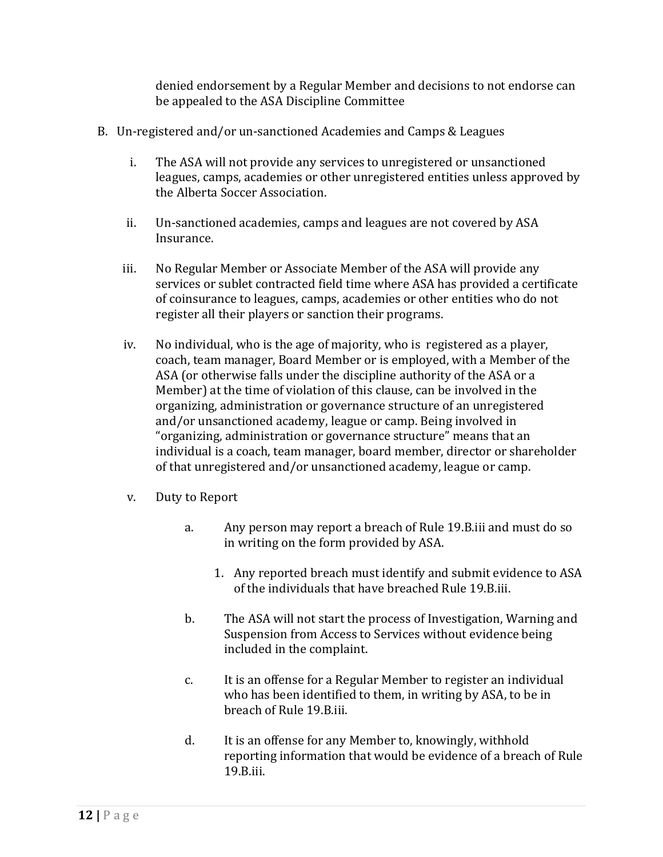denied endorsement by a Regular Member and decisions to not endorse can be appealed to the ASA Discipline Committee

- B. Un-registered and/or un-sanctioned Academies and Camps & Leagues
	- i. The ASA will not provide any services to unregistered or unsanctioned leagues, camps, academies or other unregistered entities unless approved by the Alberta Soccer Association.
	- ii. Un-sanctioned academies, camps and leagues are not covered by ASA Insurance.
	- iii. No Regular Member or Associate Member of the ASA will provide any services or sublet contracted field time where ASA has provided a certificate of coinsurance to leagues, camps, academies or other entities who do not register all their players or sanction their programs.
	- iv. No individual, who is the age of majority, who is registered as a player, coach, team manager, Board Member or is employed, with a Member of the ASA (or otherwise falls under the discipline authority of the ASA or a Member) at the time of violation of this clause, can be involved in the organizing, administration or governance structure of an unregistered and/or unsanctioned academy, league or camp. Being involved in "organizing, administration or governance structure" means that an individual is a coach, team manager, board member, director or shareholder of that unregistered and/or unsanctioned academy, league or camp.
	- v. Duty to Report
		- a. Any person may report a breach of Rule 19.B.iii and must do so in writing on the form provided by ASA.
			- 1. Any reported breach must identify and submit evidence to ASA of the individuals that have breached Rule 19.B.iii.
		- b. The ASA will not start the process of Investigation, Warning and Suspension from Access to Services without evidence being included in the complaint.
		- c. It is an offense for a Regular Member to register an individual who has been identified to them, in writing by ASA, to be in breach of Rule 19.B.iii.
		- d. It is an offense for any Member to, knowingly, withhold reporting information that would be evidence of a breach of Rule 19.B.iii.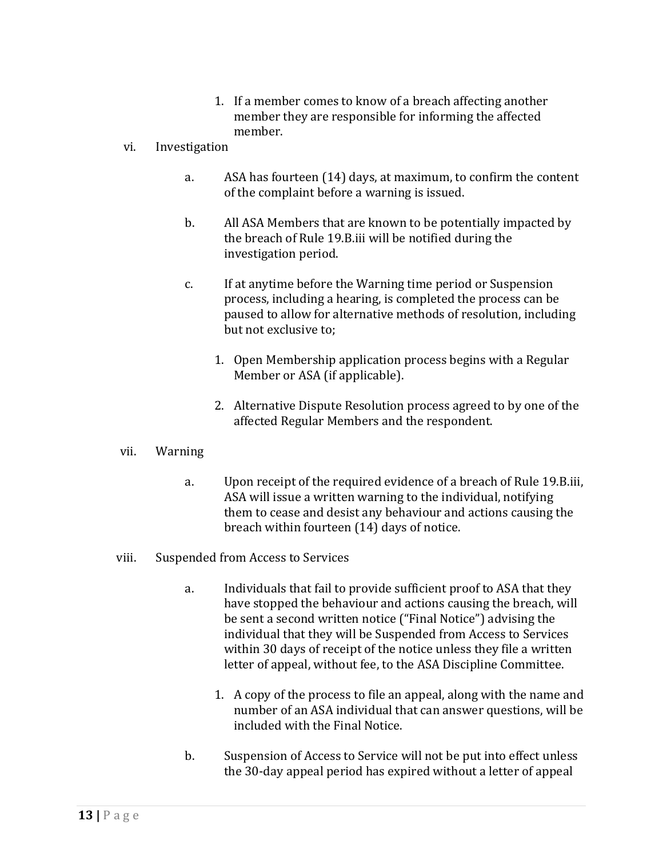1. If a member comes to know of a breach affecting another member they are responsible for informing the affected member.

#### vi. Investigation

- a. ASA has fourteen (14) days, at maximum, to confirm the content of the complaint before a warning is issued.
- b. All ASA Members that are known to be potentially impacted by the breach of Rule 19.B.iii will be notified during the investigation period.
- c. If at anytime before the Warning time period or Suspension process, including a hearing, is completed the process can be paused to allow for alternative methods of resolution, including but not exclusive to;
	- 1. Open Membership application process begins with a Regular Member or ASA (if applicable).
	- 2. Alternative Dispute Resolution process agreed to by one of the affected Regular Members and the respondent.

#### vii. Warning

a. Upon receipt of the required evidence of a breach of Rule 19.B.iii, ASA will issue a written warning to the individual, notifying them to cease and desist any behaviour and actions causing the breach within fourteen (14) days of notice.

#### viii. Suspended from Access to Services

- a. Individuals that fail to provide sufficient proof to ASA that they have stopped the behaviour and actions causing the breach, will be sent a second written notice ("Final Notice") advising the individual that they will be Suspended from Access to Services within 30 days of receipt of the notice unless they file a written letter of appeal, without fee, to the ASA Discipline Committee.
	- 1. A copy of the process to file an appeal, along with the name and number of an ASA individual that can answer questions, will be included with the Final Notice.
- b. Suspension of Access to Service will not be put into effect unless the 30-day appeal period has expired without a letter of appeal